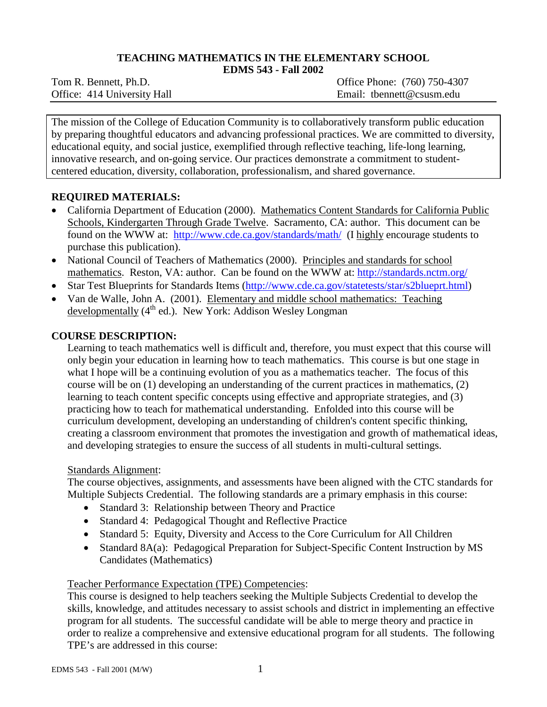# **TEACHING MATHEMATICS IN THE ELEMENTARY SCHOOL**

**EDMS 543 - Fall 2002**

Tom R. Bennett, Ph.D. Office Phone: (760) 750-4307 Office: 414 University Hall Email: tbennett@csusm.edu

The mission of the College of Education Community is to collaboratively transform public education by preparing thoughtful educators and advancing professional practices. We are committed to diversity, educational equity, and social justice, exemplified through reflective teaching, life-long learning, innovative research, and on-going service. Our practices demonstrate a commitment to studentcentered education, diversity, collaboration, professionalism, and shared governance.

## **REQUIRED MATERIALS:**

- California Department of Education (2000). Mathematics Content Standards for California Public Schools, Kindergarten Through Grade Twelve. Sacramento, CA: author. This document can be found on the WWW at: <http://www.cde.ca.gov/standards/math/>(I highly encourage students to purchase this publication).
- National Council of Teachers of Mathematics (2000). Principles and standards for school mathematics. Reston, VA: author. Can be found on the WWW at:<http://standards.nctm.org/>
- Star Test Blueprints for Standards Items [\(http://www.cde.ca.gov/statetests/star/s2blueprt.html\)](http://www.cde.ca.gov/statetests/star/s2blueprt.html)
- Van de Walle, John A. (2001). Elementary and middle school mathematics: Teaching developmentally  $(4<sup>th</sup>$  ed.). New York: Addison Wesley Longman

## **COURSE DESCRIPTION:**

Learning to teach mathematics well is difficult and, therefore, you must expect that this course will only begin your education in learning how to teach mathematics. This course is but one stage in what I hope will be a continuing evolution of you as a mathematics teacher. The focus of this course will be on (1) developing an understanding of the current practices in mathematics, (2) learning to teach content specific concepts using effective and appropriate strategies, and (3) practicing how to teach for mathematical understanding. Enfolded into this course will be curriculum development, developing an understanding of children's content specific thinking, creating a classroom environment that promotes the investigation and growth of mathematical ideas, and developing strategies to ensure the success of all students in multi-cultural settings.

## Standards Alignment:

The course objectives, assignments, and assessments have been aligned with the CTC standards for Multiple Subjects Credential. The following standards are a primary emphasis in this course:

- Standard 3: Relationship between Theory and Practice
- Standard 4: Pedagogical Thought and Reflective Practice
- Standard 5: Equity, Diversity and Access to the Core Curriculum for All Children
- Standard 8A(a): Pedagogical Preparation for Subject-Specific Content Instruction by MS Candidates (Mathematics)

## Teacher Performance Expectation (TPE) Competencies:

This course is designed to help teachers seeking the Multiple Subjects Credential to develop the skills, knowledge, and attitudes necessary to assist schools and district in implementing an effective program for all students. The successful candidate will be able to merge theory and practice in order to realize a comprehensive and extensive educational program for all students. The following TPE's are addressed in this course: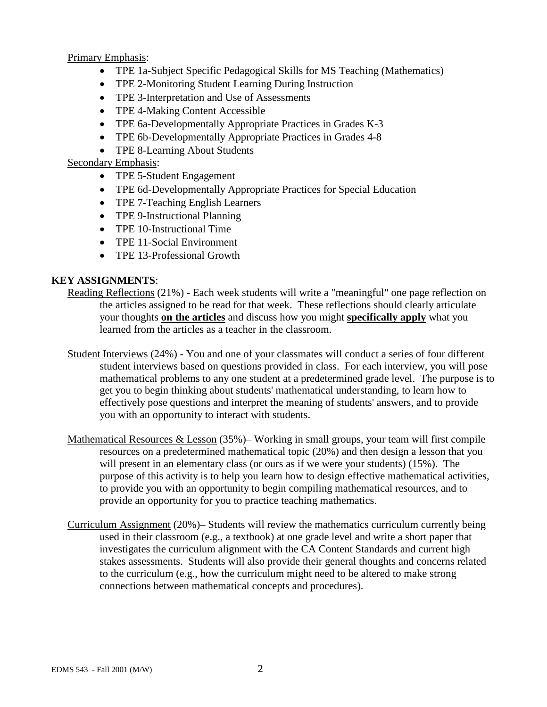Primary Emphasis:

- TPE 1a-Subject Specific Pedagogical Skills for MS Teaching (Mathematics)
- TPE 2-Monitoring Student Learning During Instruction
- TPE 3-Interpretation and Use of Assessments
- TPE 4-Making Content Accessible
- TPE 6a-Developmentally Appropriate Practices in Grades K-3
- TPE 6b-Developmentally Appropriate Practices in Grades 4-8
- TPE 8-Learning About Students

## Secondary Emphasis:

- TPE 5-Student Engagement
- TPE 6d-Developmentally Appropriate Practices for Special Education
- TPE 7-Teaching English Learners
- TPE 9-Instructional Planning
- TPE 10-Instructional Time
- TPE 11-Social Environment
- TPE 13-Professional Growth

## **KEY ASSIGNMENTS**:

- Reading Reflections (21%) Each week students will write a "meaningful" one page reflection on the articles assigned to be read for that week. These reflections should clearly articulate your thoughts **on the articles** and discuss how you might **specifically apply** what you learned from the articles as a teacher in the classroom.
- Student Interviews (24%) You and one of your classmates will conduct a series of four different student interviews based on questions provided in class. For each interview, you will pose mathematical problems to any one student at a predetermined grade level. The purpose is to get you to begin thinking about students' mathematical understanding, to learn how to effectively pose questions and interpret the meaning of students' answers, and to provide you with an opportunity to interact with students.
- Mathematical Resources  $&$  Lesson (35%)– Working in small groups, your team will first compile resources on a predetermined mathematical topic (20%) and then design a lesson that you will present in an elementary class (or ours as if we were your students) (15%). The purpose of this activity is to help you learn how to design effective mathematical activities, to provide you with an opportunity to begin compiling mathematical resources, and to provide an opportunity for you to practice teaching mathematics.
- Curriculum Assignment (20%)– Students will review the mathematics curriculum currently being used in their classroom (e.g., a textbook) at one grade level and write a short paper that investigates the curriculum alignment with the CA Content Standards and current high stakes assessments. Students will also provide their general thoughts and concerns related to the curriculum (e.g., how the curriculum might need to be altered to make strong connections between mathematical concepts and procedures).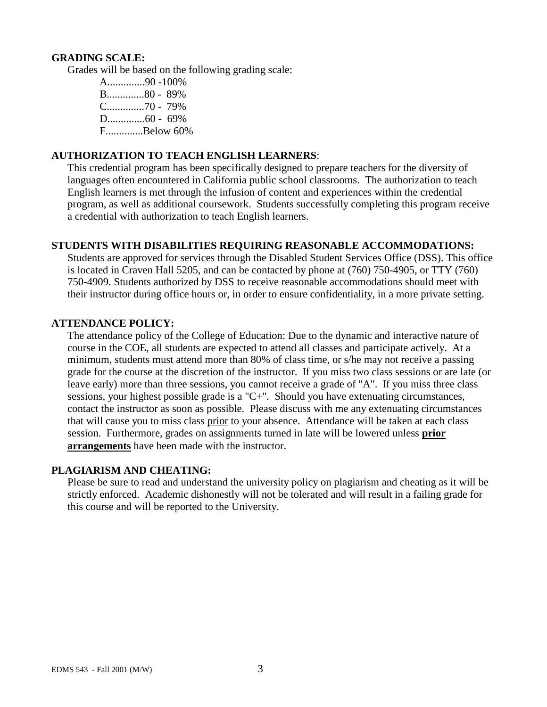#### **GRADING SCALE:**

Grades will be based on the following grading scale:

A..............90 -100% B..............80 - 89% C..............70 - 79% D..............60 - 69% F..............Below 60%

### **AUTHORIZATION TO TEACH ENGLISH LEARNERS**:

This credential program has been specifically designed to prepare teachers for the diversity of languages often encountered in California public school classrooms. The authorization to teach English learners is met through the infusion of content and experiences within the credential program, as well as additional coursework. Students successfully completing this program receive a credential with authorization to teach English learners.

## **STUDENTS WITH DISABILITIES REQUIRING REASONABLE ACCOMMODATIONS:**

Students are approved for services through the Disabled Student Services Office (DSS). This office is located in Craven Hall 5205, and can be contacted by phone at (760) 750-4905, or TTY (760) 750-4909. Students authorized by DSS to receive reasonable accommodations should meet with their instructor during office hours or, in order to ensure confidentiality, in a more private setting.

#### **ATTENDANCE POLICY:**

The attendance policy of the College of Education: Due to the dynamic and interactive nature of course in the COE, all students are expected to attend all classes and participate actively. At a minimum, students must attend more than 80% of class time, or s/he may not receive a passing grade for the course at the discretion of the instructor. If you miss two class sessions or are late (or leave early) more than three sessions, you cannot receive a grade of "A". If you miss three class sessions, your highest possible grade is a "C+". Should you have extenuating circumstances, contact the instructor as soon as possible. Please discuss with me any extenuating circumstances that will cause you to miss class prior to your absence. Attendance will be taken at each class session. Furthermore, grades on assignments turned in late will be lowered unless **prior arrangements** have been made with the instructor.

#### **PLAGIARISM AND CHEATING:**

Please be sure to read and understand the university policy on plagiarism and cheating as it will be strictly enforced. Academic dishonestly will not be tolerated and will result in a failing grade for this course and will be reported to the University.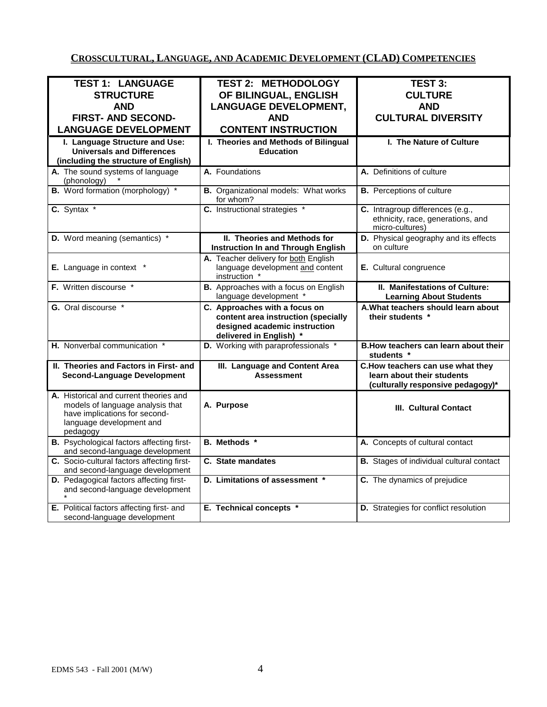# **CROSSCULTURAL, LANGUAGE, AND ACADEMIC DEVELOPMENT (CLAD) COMPETENCIES**

| <b>TEST 1: LANGUAGE</b>                                                       | <b>TEST 2: METHODOLOGY</b>                                      | <b>TEST 3:</b>                                                        |
|-------------------------------------------------------------------------------|-----------------------------------------------------------------|-----------------------------------------------------------------------|
| <b>STRUCTURE</b>                                                              | OF BILINGUAL, ENGLISH                                           | <b>CULTURE</b>                                                        |
| <b>AND</b>                                                                    | <b>LANGUAGE DEVELOPMENT,</b>                                    | <b>AND</b>                                                            |
| <b>FIRST- AND SECOND-</b>                                                     | <b>AND</b>                                                      | <b>CULTURAL DIVERSITY</b>                                             |
| <b>LANGUAGE DEVELOPMENT</b>                                                   | <b>CONTENT INSTRUCTION</b>                                      |                                                                       |
|                                                                               |                                                                 |                                                                       |
| I. Language Structure and Use:                                                | I. Theories and Methods of Bilingual                            | I. The Nature of Culture                                              |
| <b>Universals and Differences</b>                                             | <b>Education</b>                                                |                                                                       |
| (including the structure of English)                                          |                                                                 |                                                                       |
| A. The sound systems of language<br>(phonology)                               | A. Foundations                                                  | A. Definitions of culture                                             |
| <b>B.</b> Word formation (morphology) *                                       | <b>B.</b> Organizational models: What works<br>for whom?        | <b>B.</b> Perceptions of culture                                      |
| C. Syntax *                                                                   | C. Instructional strategies *                                   | C. Intragroup differences (e.g.,<br>ethnicity, race, generations, and |
|                                                                               |                                                                 | micro-cultures)                                                       |
| D. Word meaning (semantics) *                                                 | II. Theories and Methods for                                    | D. Physical geography and its effects                                 |
|                                                                               | <b>Instruction In and Through English</b>                       | on culture                                                            |
|                                                                               | A. Teacher delivery for both English                            |                                                                       |
| E. Language in context *                                                      | language development and content<br>instruction *               | E. Cultural congruence                                                |
| F. Written discourse *                                                        | B. Approaches with a focus on English<br>language development * | II. Manifestations of Culture:<br><b>Learning About Students</b>      |
| G. Oral discourse *                                                           | C. Approaches with a focus on                                   | A. What teachers should learn about                                   |
|                                                                               | content area instruction (specially                             | their students *                                                      |
|                                                                               | designed academic instruction                                   |                                                                       |
|                                                                               | delivered in English) *                                         |                                                                       |
| H. Nonverbal communication *                                                  | D. Working with paraprofessionals *                             | B. How teachers can learn about their<br>students *                   |
| II. Theories and Factors in First- and                                        | III. Language and Content Area                                  | C. How teachers can use what they                                     |
| <b>Second-Language Development</b>                                            | <b>Assessment</b>                                               | learn about their students                                            |
|                                                                               |                                                                 |                                                                       |
| A. Historical and current theories and                                        |                                                                 | (culturally responsive pedagogy)*                                     |
| models of language analysis that<br>have implications for second-             |                                                                 |                                                                       |
|                                                                               | A. Purpose                                                      | III. Cultural Contact                                                 |
|                                                                               |                                                                 |                                                                       |
| language development and                                                      |                                                                 |                                                                       |
| pedagogy                                                                      |                                                                 |                                                                       |
| <b>B.</b> Psychological factors affecting first-                              | B. Methods *                                                    | A. Concepts of cultural contact                                       |
| and second-language development<br>C. Socio-cultural factors affecting first- | C. State mandates                                               | <b>B.</b> Stages of individual cultural contact                       |
| and second-language development                                               |                                                                 |                                                                       |
| D. Pedagogical factors affecting first-                                       | D. Limitations of assessment *                                  | C. The dynamics of prejudice                                          |
| and second-language development                                               |                                                                 |                                                                       |
| E. Political factors affecting first- and                                     | E. Technical concepts *                                         | D. Strategies for conflict resolution                                 |